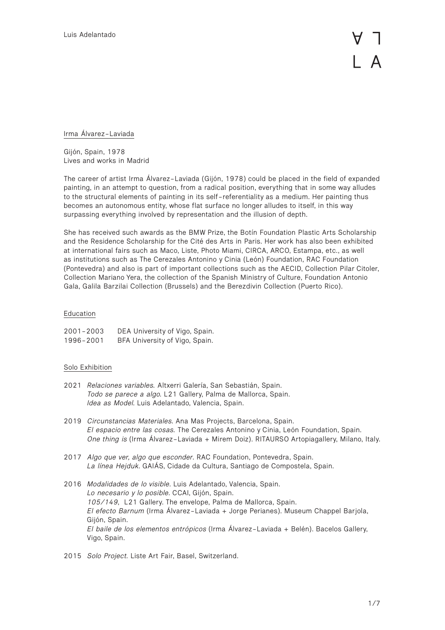Irma Álvarez-Laviada

Gijón, Spain, 1978 Lives and works in Madrid

The career of artist Irma Álvarez-Laviada (Gijón, 1978) could be placed in the field of expanded painting, in an attempt to question, from a radical position, everything that in some way alludes to the structural elements of painting in its self-referentiality as a medium. Her painting thus becomes an autonomous entity, whose flat surface no longer alludes to itself, in this way surpassing everything involved by representation and the illusion of depth.

She has received such awards as the BMW Prize, the Botín Foundation Plastic Arts Scholarship and the Residence Scholarship for the Cité des Arts in Paris. Her work has also been exhibited at international fairs such as Maco, Liste, Photo Miami, CIRCA, ARCO, Estampa, etc., as well as institutions such as The Cerezales Antonino y Cinia (León) Foundation, RAC Foundation (Pontevedra) and also is part of important collections such as the AECID, Collection Pilar Citoler, Collection Mariano Yera, the collection of the Spanish Ministry of Culture, Foundation Antonio Gala, Galila Barzilai Collection (Brussels) and the Berezdivin Collection (Puerto Rico).

# Education

| $2001 - 2003$ | DEA University of Vigo, Spain. |
|---------------|--------------------------------|
| 1996-2001     | BFA University of Vigo, Spain. |

## Solo Exhibition

- 2021 *Relaciones variables.* Altxerri Galería, San Sebastián, Spain. *Todo se parece a algo.* L21 Gallery, Palma de Mallorca, Spain. *Idea as Model*. Luis Adelantado, Valencia, Spain.
- 2019 *Circunstancias Materiales.* Ana Mas Projects, Barcelona, Spain. *El espacio entre las cosas.* The Cerezales Antonino y Cinia, León Foundation, Spain. *One thing is* (Irma Álvarez-Laviada + Mirem Doiz). RITAURSO Artopiagallery, Milano, Italy.
- 2017 *Algo que ver, algo que esconder*. RAC Foundation, Pontevedra, Spain. *La línea Hejduk*. GAIÁS, Cidade da Cultura, Santiago de Compostela, Spain.
- 2016 *Modalidades de lo visible*. Luis Adelantado, Valencia, Spain. *Lo necesario y lo posible*. CCAI, Gijón, Spain. *105/149*, L21 Gallery. The envelope, Palma de Mallorca, Spain. *El efecto Barnum* (Irma Álvarez-Laviada + Jorge Perianes). Museum Chappel Barjola, Gijón, Spain. *El baile de los elementos entrópicos* (Irma Álvarez-Laviada + Belén). Bacelos Gallery, Vigo, Spain.
- 2015 *Solo Project.* Liste Art Fair, Basel, Switzerland.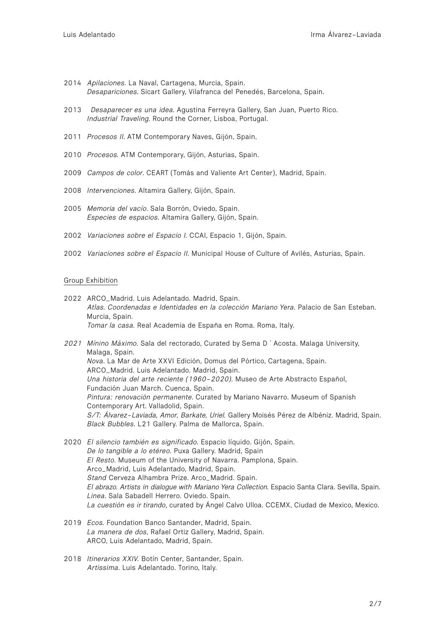- 2014 *Apilaciones*. La Naval, Cartagena, Murcia, Spain. *Desapariciones*. Sicart Gallery, Vilafranca del Penedés, Barcelona, Spain.
- 2013 *Desaparecer es una idea*. Agustina Ferreyra Gallery, San Juan, Puerto Rico. *Industrial Traveling*. Round the Corner, Lisboa, Portugal.
- 2011 *Procesos II*. ATM Contemporary Naves, Gijón, Spain.
- 2010 *Procesos.* ATM Contemporary, Gijón, Asturias, Spain.
- 2009 *Campos de color*. CEART (Tomás and Valiente Art Center), Madrid, Spain.
- 2008 *Intervenciones*. Altamira Gallery, Gijón, Spain.
- 2005 *Memoria del vacío*. Sala Borrón, Oviedo, Spain. *Especies de espacios*. Altamira Gallery, Gijón, Spain.
- 2002 *Variaciones sobre el Espacio I.* CCAI, Espacio 1, Gijón, Spain.
- 2002 *Variaciones sobre el Espacio II*. Municipal House of Culture of Avilés, Asturias, Spain.

### Group Exhibition

- 2022 ARCO\_Madrid. Luis Adelantado. Madrid, Spain. *Atlas. Coordenadas e Identidades en la colección Mariano Yera*. Palacio de San Esteban. Murcia, Spain. *Tomar la casa*. Real Academia de España en Roma. Roma, Italy.
- *2021 Mínino Máximo*. Sala del rectorado, Curated by Sema D´Acosta. Malaga University, Malaga, Spain. *Nova*. La Mar de Arte XXVI Edición, Domus del Pórtico, Cartagena, Spain. ARCO\_Madrid. Luis Adelantado. Madrid, Spain. *Una historia del arte reciente (1960-2020)*. Museo de Arte Abstracto Español, Fundación Juan March. Cuenca, Spain. *Pintura: renovación permanente*. Curated by Mariano Navarro. Museum of Spanish Contemporary Art. Valladolid, Spain. *S/T: Álvarez-Laviada, Amor, Barkate, Uriel.* Gallery Moisés Pérez de Albéniz. Madrid, Spain. *Black Bubbles*. L21 Gallery. Palma de Mallorca, Spain.
- 2020 *El silencio también es significado*. Espacio líquido. Gijón, Spain. *De lo tangible a lo etéreo*. Puxa Gallery. Madrid, Spain *El Resto*. Museum of the University of Navarra. Pamplona, Spain. Arco\_Madrid, Luis Adelantado, Madrid, Spain. *Stand* Cerveza Alhambra Prize. Arco\_Madrid. Spain. *El abrazo. Artists in dialogue with Mariano Yera Collection.* Espacio Santa Clara. Sevilla, Spain. *Linea*. Sala Sabadell Herrero. Oviedo. Spain. *La cuestión es ir tirando*, curated by Ángel Calvo Ulloa. CCEMX, Ciudad de Mexico, Mexico.
- 2019 *Ecos.* Foundation Banco Santander, Madrid, Spain. *La manera de dos*, Rafael Ortiz Gallery, Madrid, Spain. ARCO, Luis Adelantado, Madrid, Spain.
- 2018 *Itinerarios XXIV.* Botín Center, Santander, Spain. *Artissima*. Luis Adelantado. Torino, Italy.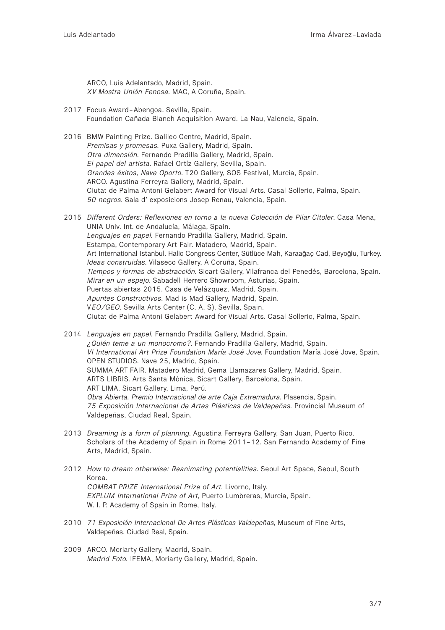ARCO, Luis Adelantado, Madrid, Spain. *XV Mostra Unión Fenosa*. MAC, A Coruña, Spain.

- 2017 Focus Award-Abengoa. Sevilla, Spain. Foundation Cañada Blanch Acquisition Award. La Nau, Valencia, Spain.
- 2016 BMW Painting Prize. Galileo Centre, Madrid, Spain. *Premisas y promesas.* Puxa Gallery, Madrid, Spain. *Otra dimensión*. Fernando Pradilla Gallery, Madrid, Spain. *El papel del artista*. Rafael Ortíz Gallery, Sevilla, Spain. *Grandes éxitos, Nave Oporto*. T20 Gallery, SOS Festival, Murcia, Spain. ARCO. Agustina Ferreyra Gallery, Madrid, Spain. Ciutat de Palma Antoni Gelabert Award for Visual Arts. Casal Solleric, Palma, Spain. *50 negros*. Sala d' exposicions Josep Renau, Valencia, Spain.
- 2015 *Different Orders: Reflexiones en torno a la nueva Colección de Pilar Citoler*. Casa Mena, UNIA Univ. Int. de Andalucía, Málaga, Spain. *Lenguajes en papel*. Fernando Pradilla Gallery, Madrid, Spain. Estampa, Contemporary Art Fair. Matadero, Madrid, Spain. Art International Istanbul. Halic Congress Center, Sütlüce Mah, Karaağaç Cad, Beyoğlu, Turkey. *Ideas construidas*. Vilaseco Gallery, A Coruña, Spain. *Tiempos y formas de abstracción*. Sicart Gallery, Vilafranca del Penedés, Barcelona, Spain. *Mirar en un espejo*. Sabadell Herrero Showroom, Asturias, Spain. Puertas abiertas 2015. Casa de Velázquez, Madrid, Spain. *Apuntes Constructivos*. Mad is Mad Gallery, Madrid, Spain. V*EO/GEO*. Sevilla Arts Center (C. A. S), Sevilla, Spain. Ciutat de Palma Antoni Gelabert Award for Visual Arts. Casal Solleric, Palma, Spain.
- 2014 *Lenguajes en papel*. Fernando Pradilla Gallery, Madrid, Spain. *¿Quién teme a un monocromo?*. Fernando Pradilla Gallery, Madrid, Spain. *VI International Art Prize Foundation María José Jove.* Foundation María José Jove, Spain. OPEN STUDIOS. Nave 25, Madrid, Spain. SUMMA ART FAIR. Matadero Madrid, Gema Llamazares Gallery, Madrid, Spain. ARTS LIBRIS. Arts Santa Mónica, Sicart Gallery, Barcelona, Spain. ART LIMA. Sicart Gallery, Lima, Perú. *Obra Abierta, Premio Internacional de arte Caja Extremadura.* Plasencia, Spain. *75 Exposición Internacional de Artes Plásticas de Valdepeñas.* Provincial Museum of Valdepeñas, Ciudad Real, Spain.
- 2013 *Dreaming is a form of planning*. Agustina Ferreyra Gallery, San Juan, Puerto Rico. Scholars of the Academy of Spain in Rome 2011-12. San Fernando Academy of Fine Arts, Madrid, Spain.
- 2012 *How to dream otherwise: Reanimating potentialities*. Seoul Art Space, Seoul, South Korea. *COMBAT PRIZE International Prize of Art*, Livorno, Italy. *EXPLUM International Prize of Art*, Puerto Lumbreras, Murcia, Spain. W. I. P. Academy of Spain in Rome, Italy.
- 2010 *71 Exposición Internacional De Artes Plásticas Valdepeñas*, Museum of Fine Arts, Valdepeñas, Ciudad Real, Spain.
- 2009 ARCO. Moriarty Gallery, Madrid, Spain. *Madrid Foto.* IFEMA, Moriarty Gallery, Madrid, Spain.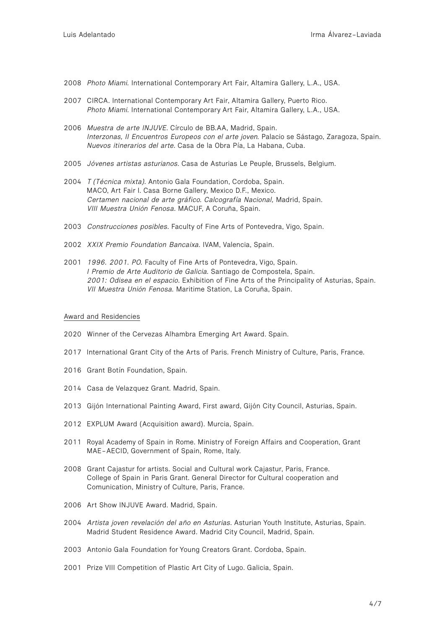- 2008 *Photo Miami.* International Contemporary Art Fair, Altamira Gallery, L.A., USA.
- 2007 CIRCA. International Contemporary Art Fair, Altamira Gallery, Puerto Rico. *Photo Miami*. International Contemporary Art Fair, Altamira Gallery, L.A., USA.
- 2006 *Muestra de arte INJUVE*. Círculo de BB.AA, Madrid, Spain. *Interzonas, II Encuentros Europeos con el arte joven.* Palacio se Sástago, Zaragoza, Spain. *Nuevos itinerarios del arte*. Casa de la Obra Pía, La Habana, Cuba.
- 2005 *Jóvenes artistas asturianos*. Casa de Asturias Le Peuple, Brussels, Belgium.
- 2004 *T (Técnica mixta)*. Antonio Gala Foundation, Cordoba, Spain. MACO, Art Fair I. Casa Borne Gallery, Mexico D.F., Mexico. *Certamen nacional de arte gráfico. Calcografía Nacional,* Madrid, Spain. *VIII Muestra Unión Fenosa*. MACUF, A Coruña, Spain.
- 2003 *Construcciones posibles*. Faculty of Fine Arts of Pontevedra, Vigo, Spain.
- 2002 *XXIX Premio Foundation Bancaixa.* IVAM, Valencia, Spain.
- 2001 *1996. 2001. PO.* Faculty of Fine Arts of Pontevedra, Vigo, Spain. *I Premio de Arte Auditorio de Galicia.* Santiago de Compostela, Spain. *2001: Odisea en el espacio*. Exhibition of Fine Arts of the Principality of Asturias, Spain. *VII Muestra Unión Fenosa.* Maritime Station, La Coruña, Spain.

### Award and Residencies

- 2020 Winner of the Cervezas Alhambra Emerging Art Award. Spain.
- 2017 International Grant City of the Arts of Paris. French Ministry of Culture, Paris, France.
- 2016 Grant Botín Foundation, Spain.
- 2014 Casa de Velazquez Grant. Madrid, Spain.
- 2013 Gijón International Painting Award, First award, Gijón City Council, Asturias, Spain.
- 2012 EXPLUM Award (Acquisition award). Murcia, Spain.
- 2011 Royal Academy of Spain in Rome. Ministry of Foreign Affairs and Cooperation, Grant MAE-AECID, Government of Spain, Rome, Italy.
- 2008 Grant Cajastur for artists. Social and Cultural work Cajastur, Paris, France. College of Spain in Paris Grant. General Director for Cultural cooperation and Comunication, Ministry of Culture, Paris, France.
- 2006 Art Show INJUVE Award. Madrid, Spain.
- 2004 *Artista joven revelación del año en Asturias*. Asturian Youth Institute, Asturias, Spain. Madrid Student Residence Award. Madrid City Council, Madrid, Spain.
- 2003 Antonio Gala Foundation for Young Creators Grant. Cordoba, Spain.
- 2001 Prize VIII Competition of Plastic Art City of Lugo. Galicia, Spain.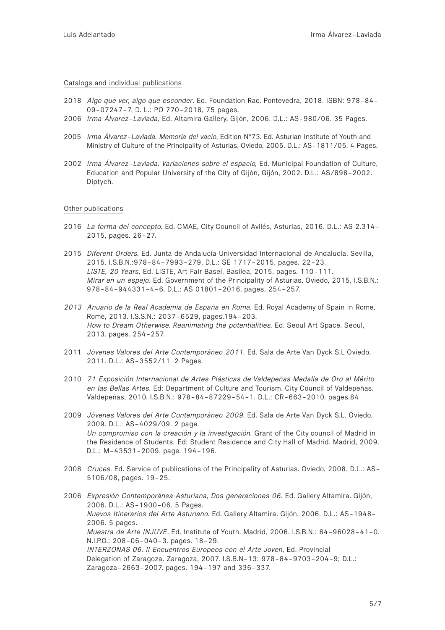#### Catalogs and individual publications

- 2018 *Algo que ver, algo que esconder*. Ed. Foundation Rac. Pontevedra, 2018. ISBN: 978-84- 09-07247-7, D. L.: PO 770-2018, 75 pages.
- 2006 *Irma Álvarez-Laviada*, Ed. Altamira Gallery, Gijón, 2006. D.L.: AS-980/06. 35 Pages.
- 2005 *Irma Álvarez-Laviada. Memoria del vacío*, Edition Nº73. Ed. Asturian Institute of Youth and Ministry of Culture of the Principality of Asturias, Oviedo, 2005. D.L.: AS-1811/05. 4 Pages.
- 2002 *Irma Álvarez-Laviada. Variaciones sobre el espacio,* Ed. Municipal Foundation of Culture, Education and Popular University of the City of Gijón, Gijón, 2002. D.L.: AS/898-2002. Diptych.

### Other publications

- 2016 *La forma del concepto.* Ed. CMAE, City Council of Avilés, Asturias, 2016. D.L.: AS 2.314- 2015, pages. 26-27.
- 2015 *Diferent Orders.* Ed. Junta de Andalucía Universidad Internacional de Andalucía. Sevilla, 2015. I.S.B.N.:978-84-7993-279, D.L.: SE 1717-2015, pages. 22-23. *LISTE, 20 Years,* Ed. LISTE, Art Fair Basel, Basilea, 2015. pages. 110-111. *Mirar en un espejo*. Ed. Government of the Principality of Asturias, Oviedo, 2015, I.S.B.N.: 978-84-944331-4-6, D.L.: AS 01801-2016, pages. 254-257.
- *2013 Anuario de la Real Academia de España en Roma.* Ed. Royal Academy of Spain in Rome, Rome, 2013. I.S.S.N.: 2037-6529, pages.194-203. *How to Dream Otherwise. Reanimating the potentialities.* Ed. Seoul Art Space. Seoul, 2013. pages. 254-257.
- 2011 *Jóvenes Valores del Arte Contemporáneo 2011.* Ed. Sala de Arte Van Dyck S.L Oviedo, 2011. D.L.: AS-3552/11. 2 Pages.
- 2010 *71 Exposición Internacional de Artes Plásticas de Valdepeñas Medalla de Oro al Mérito en las Bellas Artes.* Ed: Department of Culture and Tourism. City Council of Valdepeñas. Valdepeñas, 2010, I.S.B.N.: 978-84-87229-54-1. D.L.: CR-663-2010. pages.84
- 2009 *Jóvenes Valores del Arte Contemporáneo 2009*. Ed. Sala de Arte Van Dyck S.L. Oviedo, 2009. D.L.: AS-4029/09. 2 page. *Un compromiso con la creación y la investigación.* Grant of the City council of Madrid in the Residence of Students. Ed: Student Residence and City Hall of Madrid. Madrid, 2009. D.L.: M-43531-2009. page. 194-196.
- 2008 *Cruces*. Ed. Service of publications of the Principality of Asturias. Oviedo, 2008. D.L.: AS-5106/08, pages. 19-25.
- 2006 *Expresión Contemporánea Asturiana, Dos generaciones 06.* Ed. Gallery Altamira. Gijón, 2006. D.L.: AS-1900-06. 5 Pages. *Nuevos Itinerarios del Arte Asturiano.* Ed. Gallery Altamira. Gijón, 2006. D.L.: AS-1948- 2006. 5 pages. *Muestra de Arte INJUVE.* Ed. Institute of Youth. Madrid, 2006. I.S.B.N.: 84-96028-41-0. N.I.P.O.: 208-06-040-3. pages. 18-29. *INTERZONAS 06. Il Encuentros Europeos con el Arte Joven, Ed. Provincial* Delegation of Zaragoza. Zaragoza, 2007. I.S.B.N-13: 978-84-9703-204-9; D.L.: Zaragoza-2663-2007. pages. 194-197 and 336-337.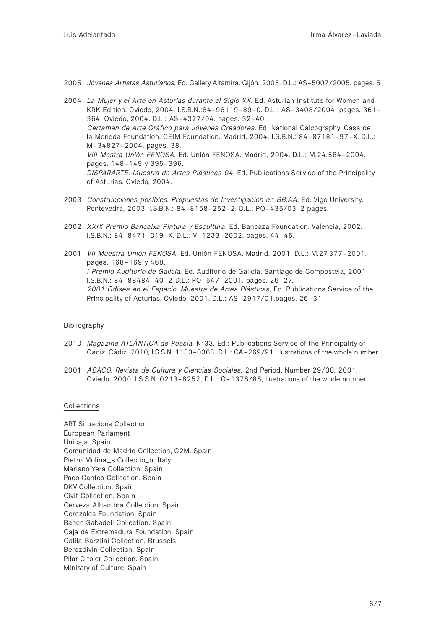- 2005 *Jóvenes Artistas Asturianos.* Ed. Gallery Altamira. Gijón, 2005. D.L.: AS-5007/2005. pages. 5
- 2004 *La Mujer y el Arte en Asturias durante el Siglo XX*. Ed. Asturian Institute for Women and KRK Edition. Oviedo, 2004. I.S.B.N.:84-96119-89-0. D.L.: AS-3408/2004. pages. 361- 364. Oviedo, 2004. D.L.: AS-4327/04. pages. 32-40. *Certamen de Arte Gráfico para Jóvenes Creadores*. Ed. National Calcography, Casa de la Moneda Foundation, CEIM Foundation. Madrid, 2004. I.S.B.N.: 84-87181-97-X. D.L.: M-34827-2004. pages. 38. *VIII Mostra Unión FENOSA.* Ed. Unión FENOSA. Madrid, 2004. D.L.: M.24.564-2004. pages. 148-149 y 395-396. *DISPARARTE. Muestra de Artes Plásticas 04*. Ed. Publications Service of the Principality of Asturias. Oviedo, 2004.
- 2003 *Construcciones posibles. Propuestas de Investigación en BB.AA.* Ed. Vigo University. Pontevedra, 2003. I.S.B.N.: 84-8158-252-2. D.L.: PO-435/03. 2 pages.
- 2002 *XXIX Premio Bancaixa Pintura y Escultura*. Ed. Bancaza Foundation. Valencia, 2002. I.S.B.N.: 84-8471-019-X. D.L.: V-1233-2002. pages. 44-45.
- 2001 *VII Muestra Unión FENOSA*. Ed. Unión FENOSA. Madrid, 2001. D.L.: M.27.377-2001. pages. 168-169 y 468. *I Premio Auditorio de Galicia.* Ed. Auditorio de Galicia. Santiago de Compostela, 2001. I.S.B.N.: 84-88484-40-2 D.L.: PO-547-2001. pages. 26-27. *2001 Odisea en el Espacio. Muestra de Artes Plásticas*, Ed. Publications Service of the Principality of Asturias. Oviedo, 2001. D.L.: AS-2917/01.pages. 26-31.

## Bibliography

- 2010 *Magazine ATLÁNTICA de Poesía,* Nº33. Ed.: Publications Service of the Principality of Cádiz. Cádiz, 2010, I.S.S.N.:1133-0368. D.L.: CA-269/91. Ilustrations of the whole number.
- 2001 *ÁBACO. Revista de Cultura y Ciencias Sociales,* 2nd Period. Number 29/30. 2001, Oviedo, 2000, I.S.S.N.:0213-6252, D.L.: O-1376/86, Ilustrations of the whole number.

# Collections

ART Situacions Collection European Parlament Unicaja. Spain Comunidad de Madrid Collection, C2M. Spain Pietro Molina\_s Collectio\_n. Italy Mariano Yera Collection. Spain Paco Cantos Collection. Spain DKV Collection. Spain Civit Collection. Spain Cerveza Alhambra Collection. Spain Cerezales Foundation. Spain Banco Sabadell Collection. Spain Caja de Extremadura Foundation. Spain Galila Barzilai Collection. Brussels Berezdivin Collection. Spain Pilar Citoler Collection. Spain Ministry of Culture. Spain